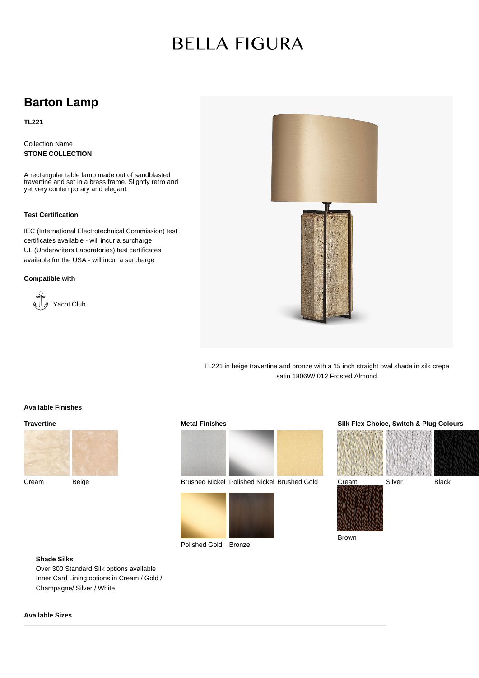# **BELLA FIGURA**

# **Barton Lamp**

**TL221**

Collection Name **STONE COLLECTION**

A rectangular table lamp made out of sandblasted travertine and set in a brass frame. Slightly retro and yet very contemporary and elegant.

#### **Test Certification**

IEC (International Electrotechnical Commission) test certificates available - will incur a surcharge UL (Underwriters Laboratories) test certificates available for the USA - will incur a surcharge

#### **Compatible with**





TL221 in beige travertine and bronze with a 15 inch straight oval shade in silk crepe satin 1806W/ 012 Frosted Almond

### **Available Finishes**

#### **Travertine**



Cream Beige





Brushed Nickel Polished Nickel Brushed Gold





# **Silk Flex Choice, Switch & Plug Colours**



Brown

## **Shade Silks**

Over 300 Standard Silk options available Inner Card Lining options in Cream / Gold / Champagne/ Silver / White

### **Available Sizes**